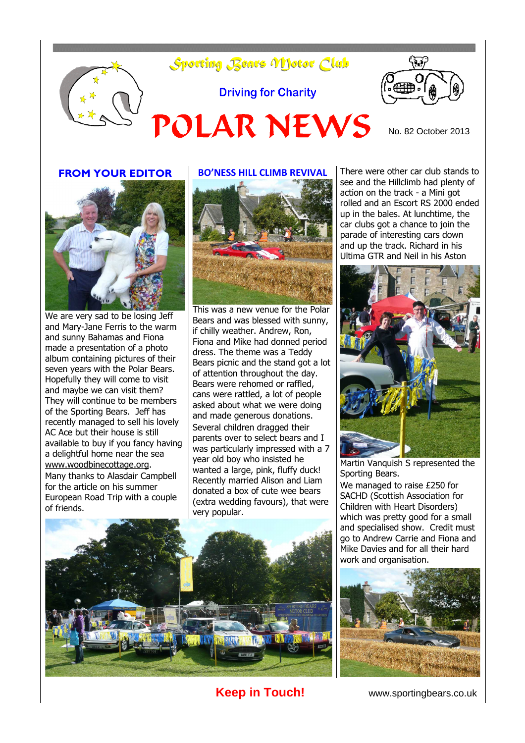





We are very sad to be losing Jeff and Mary-Jane Ferris to the warm and sunny Bahamas and Fiona made a presentation of a photo album containing pictures of their seven years with the Polar Bears. Hopefully they will come to visit and maybe we can visit them? They will continue to be members of the Sporting Bears. Jeff has recently managed to sell his lovely AC Ace but their house is still available to buy if you fancy having a delightful home near the sea [www.woodbinecottage.org.](http://www.woodbinecottage.org/) Many thanks to Alasdair Campbell for the article on his summer European Road Trip with a couple of friends.

# **BO'NESS HILL CLIMB REVIVAL**



This was a new venue for the Polar Bears and was blessed with sunny, if chilly weather. Andrew, Ron, Fiona and Mike had donned period dress. The theme was a Teddy Bears picnic and the stand got a lot of attention throughout the day. Bears were rehomed or raffled, cans were rattled, a lot of people asked about what we were doing and made generous donations. Several children dragged their parents over to select bears and I was particularly impressed with a 7 year old boy who insisted he wanted a large, pink, fluffy duck! Recently married Alison and Liam donated a box of cute wee bears (extra wedding favours), that were very popular.



There were other car club stands to see and the Hillclimb had plenty of action on the track - a Mini got rolled and an Escort RS 2000 ended up in the bales. At lunchtime, the car clubs got a chance to join the parade of interesting cars down and up the track. Richard in his Ultima GTR and Neil in his Aston



Martin Vanquish S represented the Sporting Bears.

We managed to raise £250 for SACHD (Scottish Association for Children with Heart Disorders) which was pretty good for a small and specialised show. Credit must go to Andrew Carrie and Fiona and Mike Davies and for all their hard work and organisation.



**Keep in Touch!** www.sportingbears.co.uk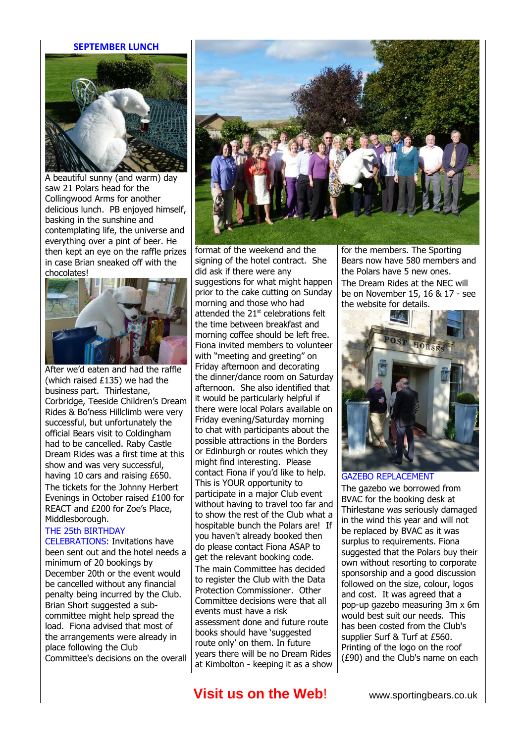#### **SEPTEMBER LUNCH**



A beautiful sunny (and warm) day saw 21 Polars head for the Collingwood Arms for another delicious lunch. PB enjoyed himself, basking in the sunshine and contemplating life, the universe and everything over a pint of beer. He then kept an eye on the raffle prizes in case Brian sneaked off with the chocolates!



After we'd eaten and had the raffle (which raised £135) we had the business part. Thirlestane, Corbridge, Teeside Children's Dream Rides & Bo'ness Hillclimb were very successful, but unfortunately the official Bears visit to Coldingham had to be cancelled. Raby Castle Dream Rides was a first time at this show and was very successful, having 10 cars and raising £650. The tickets for the Johnny Herbert Evenings in October raised £100 for REACT and £200 for Zoe's Place, Middlesborough.

#### THE 25th BIRTHDAY

CELEBRATIONS: Invitations have been sent out and the hotel needs a minimum of 20 bookings by December 20th or the event would be cancelled without any financial penalty being incurred by the Club. Brian Short suggested a subcommittee might help spread the load. Fiona advised that most of the arrangements were already in place following the Club Committee's decisions on the overall



format of the weekend and the signing of the hotel contract. She did ask if there were any suggestions for what might happen prior to the cake cutting on Sunday morning and those who had attended the  $21<sup>st</sup>$  celebrations felt the time between breakfast and morning coffee should be left free. Fiona invited members to volunteer with "meeting and greeting" on Friday afternoon and decorating the dinner/dance room on Saturday afternoon. She also identified that it would be particularly helpful if there were local Polars available on Friday evening/Saturday morning to chat with participants about the possible attractions in the Borders or Edinburgh or routes which they might find interesting. Please contact Fiona if you'd like to help. This is YOUR opportunity to participate in a major Club event without having to travel too far and to show the rest of the Club what a hospitable bunch the Polars are! If you haven't already booked then do please contact Fiona ASAP to get the relevant booking code. The main Committee has decided to register the Club with the Data Protection Commissioner. Other Committee decisions were that all events must have a risk assessment done and future route books should have 'suggested route only' on them. In future years there will be no Dream Rides at Kimbolton - keeping it as a show

for the members. The Sporting Bears now have 580 members and the Polars have 5 new ones. The Dream Rides at the NEC will be on November 15, 16 & 17 - see the website for details.



#### GAZEBO REPLACEMENT

The gazebo we borrowed from BVAC for the booking desk at Thirlestane was seriously damaged in the wind this year and will not be replaced by BVAC as it was surplus to requirements. Fiona suggested that the Polars buy their own without resorting to corporate sponsorship and a good discussion followed on the size, colour, logos and cost. It was agreed that a pop-up gazebo measuring 3m x 6m would best suit our needs. This has been costed from the Club's supplier Surf & Turf at £560. Printing of the logo on the roof (£90) and the Club's name on each

## **Visit us on the Web!** www.sportingbears.co.uk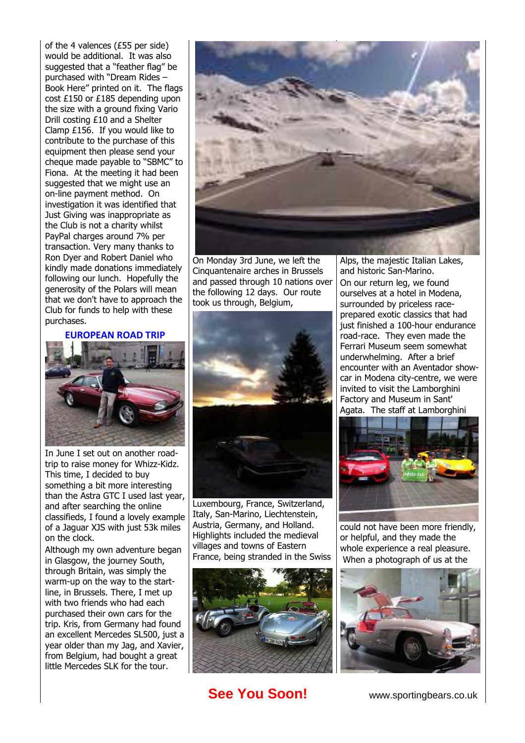of the 4 valences (£55 per side) would be additional. It was also suggested that a "feather flag" be purchased with "Dream Rides – Book Here" printed on it. The flags cost £150 or £185 depending upon the size with a ground fixing Vario Drill costing £10 and a Shelter Clamp £156. If you would like to contribute to the purchase of this equipment then please send your cheque made payable to "SBMC" to Fiona. At the meeting it had been suggested that we might use an on-line payment method. On investigation it was identified that Just Giving was inappropriate as the Club is not a charity whilst PayPal charges around 7% per transaction. Very many thanks to Ron Dyer and Robert Daniel who kindly made donations immediately following our lunch. Hopefully the generosity of the Polars will mean that we don't have to approach the Club for funds to help with these purchases.

**EUROPEAN ROAD TRIP**



In June I set out on another roadtrip to raise money for Whizz-Kidz. This time, I decided to buy something a bit more interesting than the Astra GTC I used last year, and after searching the online classifieds, I found a lovely example of a Jaguar XJS with just 53k miles on the clock.

Although my own adventure began in Glasgow, the journey South, through Britain, was simply the warm-up on the way to the startline, in Brussels. There, I met up with two friends who had each purchased their own cars for the trip. Kris, from Germany had found an excellent Mercedes SL500, just a year older than my Jag, and Xavier, from Belgium, had bought a great little Mercedes SLK for the tour.



On Monday 3rd June, we left the Cinquantenaire arches in Brussels and passed through 10 nations over the following 12 days. Our route took us through, Belgium,



Luxembourg, France, Switzerland, Italy, San-Marino, Liechtenstein, Austria, Germany, and Holland. Highlights included the medieval villages and towns of Eastern France, being stranded in the Swiss



**See You Soon!** www.sportingbears.co.uk

Alps, the majestic Italian Lakes, and historic San-Marino. On our return leg, we found ourselves at a hotel in Modena, surrounded by priceless raceprepared exotic classics that had just finished a 100-hour endurance road-race. They even made the Ferrari Museum seem somewhat underwhelming. After a brief encounter with an Aventador showcar in Modena city-centre, we were invited to visit the Lamborghini Factory and Museum in Sant' Agata. The staff at Lamborghini



could not have been more friendly, or helpful, and they made the whole experience a real pleasure. When a photograph of us at the